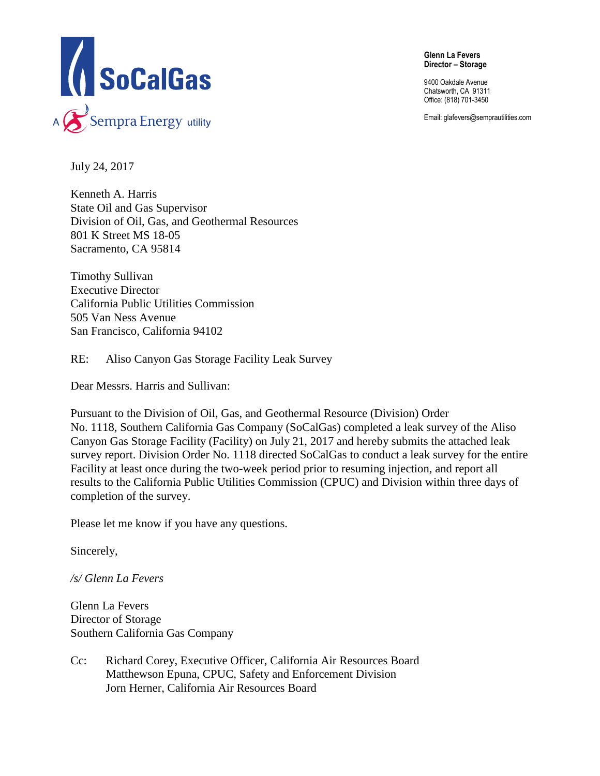

**Glenn La Fevers Director – Storage** 

9400 Oakdale Avenue Chatsworth, CA 91311 Office: (818) 701-3450

Email: glafevers@semprautilities.com

July 24, 2017

Kenneth A. Harris State Oil and Gas Supervisor Division of Oil, Gas, and Geothermal Resources 801 K Street MS 18-05 Sacramento, CA 95814

Timothy Sullivan Executive Director California Public Utilities Commission 505 Van Ness Avenue San Francisco, California 94102

RE: Aliso Canyon Gas Storage Facility Leak Survey

Dear Messrs. Harris and Sullivan:

Pursuant to the Division of Oil, Gas, and Geothermal Resource (Division) Order No. 1118, Southern California Gas Company (SoCalGas) completed a leak survey of the Aliso Canyon Gas Storage Facility (Facility) on July 21, 2017 and hereby submits the attached leak survey report. Division Order No. 1118 directed SoCalGas to conduct a leak survey for the entire Facility at least once during the two-week period prior to resuming injection, and report all results to the California Public Utilities Commission (CPUC) and Division within three days of completion of the survey.

Please let me know if you have any questions.

Sincerely,

*/s/ Glenn La Fevers*

Glenn La Fevers Director of Storage Southern California Gas Company

Cc: Richard Corey, Executive Officer, California Air Resources Board Matthewson Epuna, CPUC, Safety and Enforcement Division Jorn Herner, California Air Resources Board